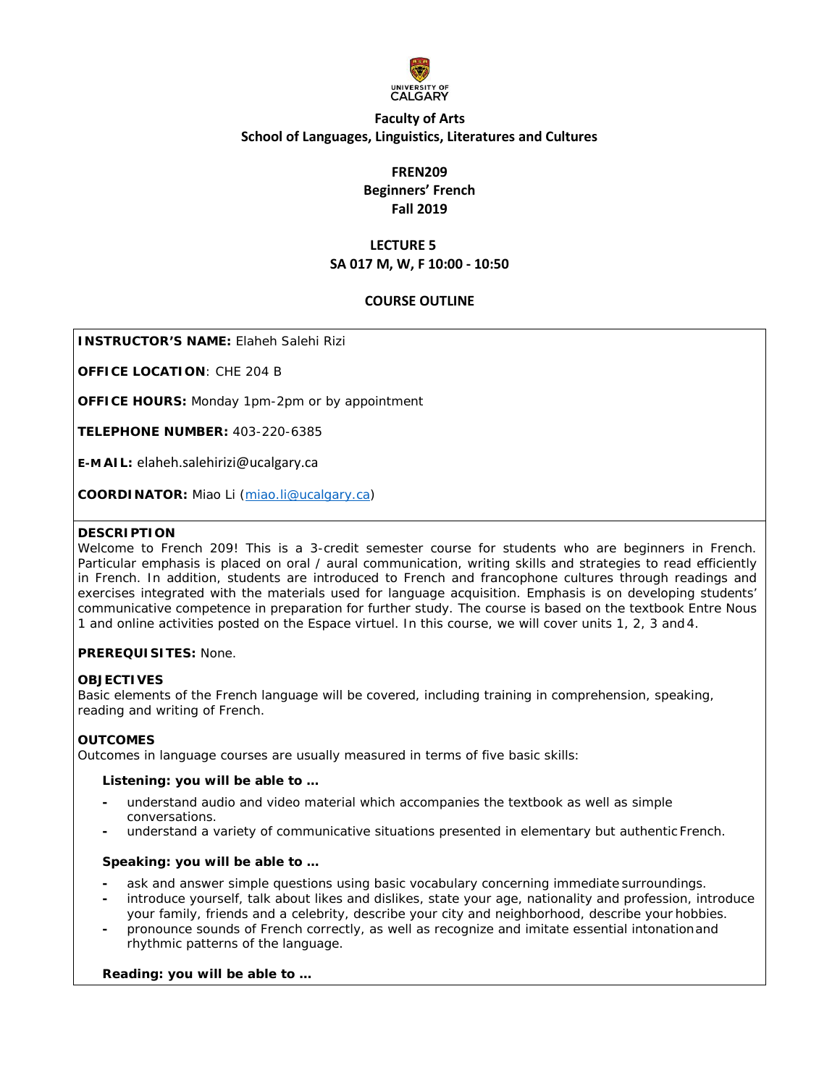

# **FREN209 Beginners' French Fall 2019**

# **LECTURE 5 SA 017 M, W, F 10:00 - 10:50**

# **COURSE OUTLINE**

**INSTRUCTOR'S NAME:** Elaheh Salehi Rizi

**OFFICE LOCATION**: CHE 204 B

**OFFICE HOURS:** Monday 1pm-2pm or by appointment

**TELEPHONE NUMBER:** 403-220-6385

**E-M AIL:** [elaheh.salehirizi@ucalgary.ca](mailto:elaheh.salehirizi@ucalgary.ca)

**COORDINATOR:** Miao Li (miao.li@ucalgary.ca)

### **DESCRIPTION**

Welcome to French 209! This is a 3-credit semester course for students who are beginners in French. Particular emphasis is placed on oral / aural communication, writing skills and strategies to read efficiently in French. In addition, students are introduced to French and francophone cultures through readings and exercises integrated with the materials used for language acquisition. Emphasis is on developing students' communicative competence in preparation for further study. The course is based on the textbook *Entre Nous 1* and online activities posted on the *Espace virtuel*. In this course, we will cover units 1, 2, 3 and 4.

# **PREREQUISITES:** None.

### **OBJECTIVES**

Basic elements of the French language will be covered, including training in comprehension, speaking, reading and writing of French.

# **OUTCOMES**

Outcomes in language courses are usually measured in terms of five basic skills:

### **Listening: you will be able to …**

- **-** understand audio and video material which accompanies the textbook as well as simple conversations.
- **-** understand a variety of communicative situations presented in elementary but authentic French.

### **Speaking: you will be able to …**

- **-** ask and answer simple questions using basic vocabulary concerning immediate surroundings.
- **-** introduce yourself, talk about likes and dislikes, state your age, nationality and profession, introduce your family, friends and a celebrity, describe your city and neighborhood, describe your hobbies.
- **-** pronounce sounds of French correctly, as well as recognize and imitate essential intonationand rhythmic patterns of the language.

### **Reading: you will be able to …**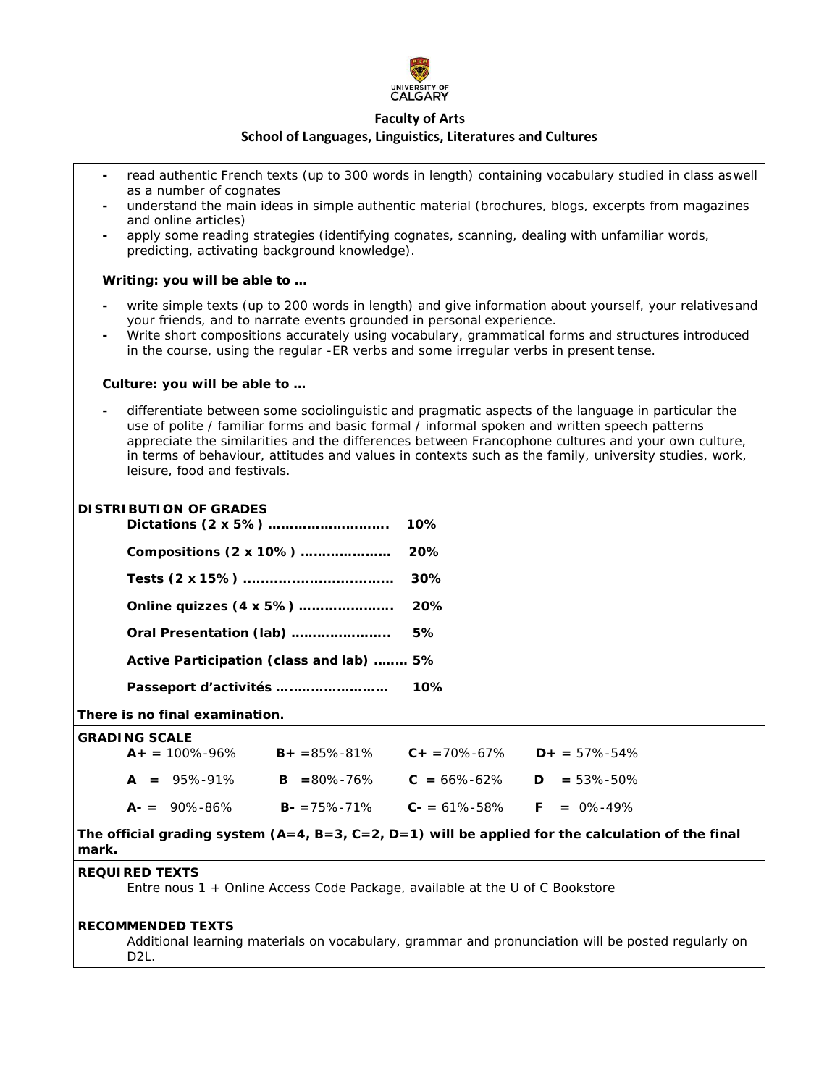

- **-** read authentic French texts (up to 300 words in length) containing vocabulary studied in class aswell as a number of cognates
- **-** understand the main ideas in simple authentic material (brochures, blogs, excerpts from magazines and online articles)
- **-** apply some reading strategies (identifying cognates, scanning, dealing with unfamiliar words, predicting, activating background knowledge).

# **Writing: you will be able to …**

- write simple texts (up to 200 words in length) and give information about yourself, your relatives and your friends, and to narrate events grounded in personal experience.
- **-** Write short compositions accurately using vocabulary, grammatical forms and structures introduced in the course, using the regular -*ER* verbs and some irregular verbs in present tense.

### **Culture: you will be able to …**

**-** differentiate between some sociolinguistic and pragmatic aspects of the language in particular the use of polite / familiar forms and basic formal / informal spoken and written speech patterns appreciate the similarities and the differences between Francophone cultures and your own culture, in terms of behaviour, attitudes and values in contexts such as the family, university studies, work, leisure, food and festivals.

#### **DISTRIBUTION OF GRADES Dictations (2 x 5%) ………………………. 10%**

|                                          | 1 U 7 o |
|------------------------------------------|---------|
| Compositions (2 x 10%)                   | 20%     |
|                                          | 30%     |
| Online quizzes (4 x 5%)                  | 20%     |
| Oral Presentation (lab)                  | 5%      |
| Active Participation (class and lab)  5% |         |
|                                          | $10\%$  |

### **There is no final examination.**

### **GRADING SCALE**

| $A_+ = 100\% - 96\%$ | $B+ = 85\% - 81\%$         | $C_{+}$ = 70%-67%                   | $D_{+} = 57\% - 54\%$ |
|----------------------|----------------------------|-------------------------------------|-----------------------|
| $A = 95\% - 91\%$    | $\mathbf{B} = 80\% - 76\%$ | $C = 66\% - 62\%$ $D = 53\% - 50\%$ |                       |
| $A = 90\% - 86\%$    | $B - 75\% - 71\%$          | $C = 61\% - 58\%$ F = 0%-49%        |                       |

**The official grading system (A=4, B=3, C=2, D=1) will be applied for the calculation of the final mark.**

### **REQUIRED TEXTS**

*Entre nous 1 +* Online Access Code Package, available at the U of C Bookstore

# **RECOMMENDED TEXTS**

Additional learning materials on vocabulary, grammar and pronunciation will be posted regularly on D<sub>2L</sub>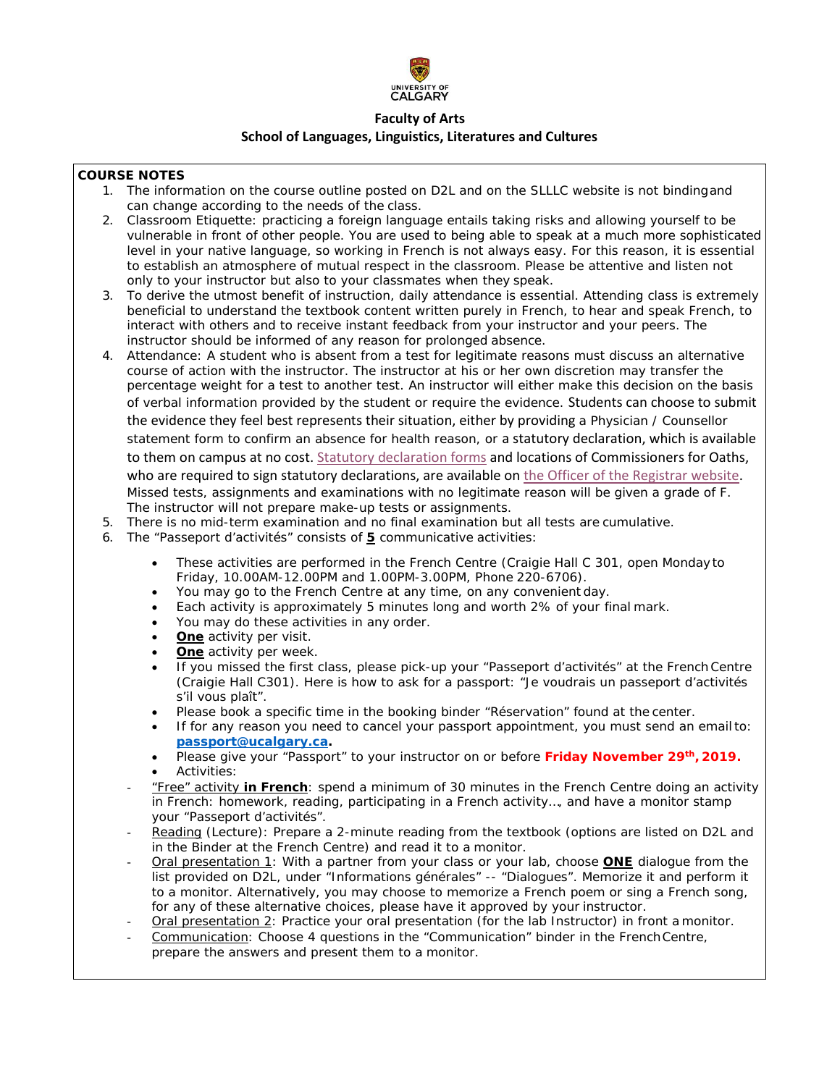

# **COURSE NOTES**

- 1. The information on the course outline posted on D2L and on the SLLLC website is not bindingand can change according to the needs of the class.
- 2. Classroom Etiquette: practicing a foreign language entails taking risks and allowing yourself to be vulnerable in front of other people. You are used to being able to speak at a much more sophisticated level in your native language, so working in French is not always easy. For this reason, it is essential to establish an atmosphere of mutual respect in the classroom. Please be attentive and listen not only to your instructor but also to your classmates when they speak.
- 3. To derive the utmost benefit of instruction, daily attendance is essential. Attending class is extremely beneficial to understand the textbook content written purely in French, to hear and speak French, to interact with others and to receive instant feedback from your instructor and your peers. The instructor should be informed of any reason for prolonged absence.
- 4. Attendance: A student who is absent from a test for legitimate reasons must discuss an alternative course of action with the instructor. The instructor at his or her own discretion may transfer the percentage weight for a test to another test. An instructor will either make this decision on the basis of verbal information provided by the student or require the evidence. Students can choose to submit the evidence they feel best represents their situation, either by providing a Physician / Counsellor statement form to confirm an absence for health reason, or a statutory declaration, which is available to them on campus at no cost. Statutory declaration forms and locations of Commissioners for Oaths, who are required to sign statutory declarations, are available on the Officer of the Registrar website. Missed tests, assignments and examinations with no legitimate reason will be given a grade of F. The instructor will not prepare make-up tests or assignments.
- 5. There is no mid-term examination and no final examination but all tests are cumulative.
- 6. The "Passeport d'activités" consists of **5** communicative activities:
	- These activities are performed in the French Centre (Craigie Hall C 301, open Monday to Friday, 10.00AM-12.00PM and 1.00PM-3.00PM, Phone 220-6706).
	- You may go to the French Centre at any time, on any convenient day.
	- Each activity is approximately 5 minutes long and worth 2% of your final mark.
	- You may do these activities in any order.
	- **One** activity per visit.
	- **One** activity per week.
	- If you missed the first class, please pick-up your "Passeport d'activités" at the French Centre (Craigie Hall C301). Here is how to ask for a passport: "Je voudrais un passeport d'activités s'il vous plaît".
	- Please book a specific time in the booking binder "Réservation" found at the center.
	- If for any reason you need to cancel your passport appointment, you must send an emailto: **[passport@ucalgary.ca.](mailto:passport@ucalgary.ca)**
	- Please give your "Passport" to your instructor on or before **Friday November 29th, 2019.** • Activities:
	- "Free" activity **in French**: spend a minimum of 30 minutes in the French Centre doing an activity in French: homework, reading, participating in a French activity…, and have a monitor stamp your "Passeport d'activités".
	- Reading (*Lecture*): Prepare a 2-minute reading from the textbook (options are listed on D2L and in the Binder at the French Centre) and read it to a monitor.
	- Oral presentation 1: With a partner from your class or your lab, choose **ONE** dialogue from the list provided on D2L, under "Informations générales" -- "Dialogues". Memorize it and perform it to a monitor. Alternatively, you may choose to memorize a French poem or sing a French song, for any of these alternative choices, please have it approved by your instructor.
	- Oral presentation 2: Practice your oral presentation (for the lab Instructor) in front a monitor.
	- Communication: Choose 4 questions in the "Communication" binder in the FrenchCentre, prepare the answers and present them to a monitor.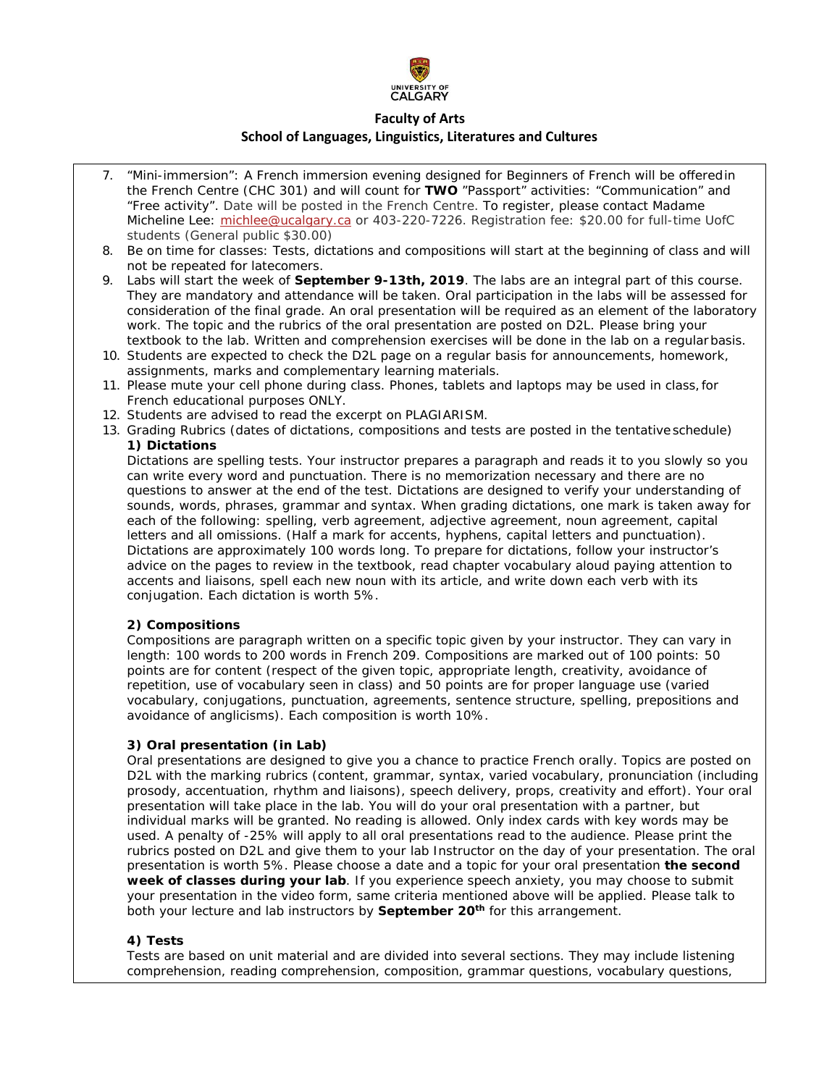

- 7. "Mini-immersion": A French immersion evening designed for Beginners of French will be offeredin the French Centre (CHC 301) and will count for **TWO** "Passport" activities: "Communication" and "Free activity". Date will be posted in the French Centre. To register, please contact Madame Micheline Lee: [michlee@ucalgary.ca](mailto:michlee@ucalgary.ca) or 403-220-7226. Registration fee: \$20.00 for full-time UofC students (General public \$30.00)
- 8. Be on time for classes: Tests, dictations and compositions will start at the beginning of class and will not be repeated for latecomers.
- 9. Labs will start the week of **September 9-13th, 2019**. The labs are an integral part of this course. They are mandatory and attendance will be taken. Oral participation in the labs will be assessed for consideration of the final grade. An oral presentation will be required as an element of the laboratory work. The topic and the rubrics of the oral presentation are posted on D2L. Please bring your textbook to the lab. Written and comprehension exercises will be done in the lab on a regularbasis.
- 10. Students are expected to check the D2L page on a regular basis for announcements, homework, assignments, marks and complementary learning materials.
- 11. Please mute your cell phone during class. Phones, tablets and laptops may be used in class,for French educational purposes ONLY.
- 12. Students are advised to read the excerpt on PLAGIARISM.
- 13. Grading Rubrics (dates of dictations, compositions and tests are posted in the tentative schedule) **1) Dictations**

Dictations are spelling tests. Your instructor prepares a paragraph and reads it to you slowly so you can write every word and punctuation. There is no memorization necessary and there are no questions to answer at the end of the test. Dictations are designed to verify your understanding of sounds, words, phrases, grammar and syntax. When grading dictations, one mark is taken away for each of the following: spelling, verb agreement, adjective agreement, noun agreement, capital letters and all omissions. (Half a mark for accents, hyphens, capital letters and punctuation). Dictations are approximately 100 words long. To prepare for dictations, follow your instructor's advice on the pages to review in the textbook, read chapter vocabulary aloud paying attention to accents and liaisons, spell each new noun with its article, and write down each verb with its conjugation. Each dictation is worth 5%.

# **2) Compositions**

Compositions are paragraph written on a specific topic given by your instructor. They can vary in length: 100 words to 200 words in French 209. Compositions are marked out of 100 points: 50 points are for content (respect of the given topic, appropriate length, creativity, avoidance of repetition, use of vocabulary seen in class) and 50 points are for proper language use (varied vocabulary, conjugations, punctuation, agreements, sentence structure, spelling, prepositions and avoidance of anglicisms). Each composition is worth 10%.

# **3) Oral presentation (in Lab)**

Oral presentations are designed to give you a chance to practice French orally. Topics are posted on D2L with the marking rubrics (content, grammar, syntax, varied vocabulary, pronunciation (including prosody, accentuation, rhythm and liaisons), speech delivery, props, creativity and effort). Your oral presentation will take place in the lab. You will do your oral presentation with a partner, but individual marks will be granted. No reading is allowed. Only index cards with key words may be used. A penalty of -25% will apply to all oral presentations read to the audience. Please print the rubrics posted on D2L and give them to your lab Instructor on the day of your presentation. The oral presentation is worth 5%. Please choose a date and a topic for your oral presentation **the second week of classes during your lab**. If you experience speech anxiety, you may choose to submit your presentation in the video form, same criteria mentioned above will be applied. Please talk to both your lecture and lab instructors by **September 20th** for this arrangement.

# **4) Tests**

Tests are based on unit material and are divided into several sections. They may include listening comprehension, reading comprehension, composition, grammar questions, vocabulary questions,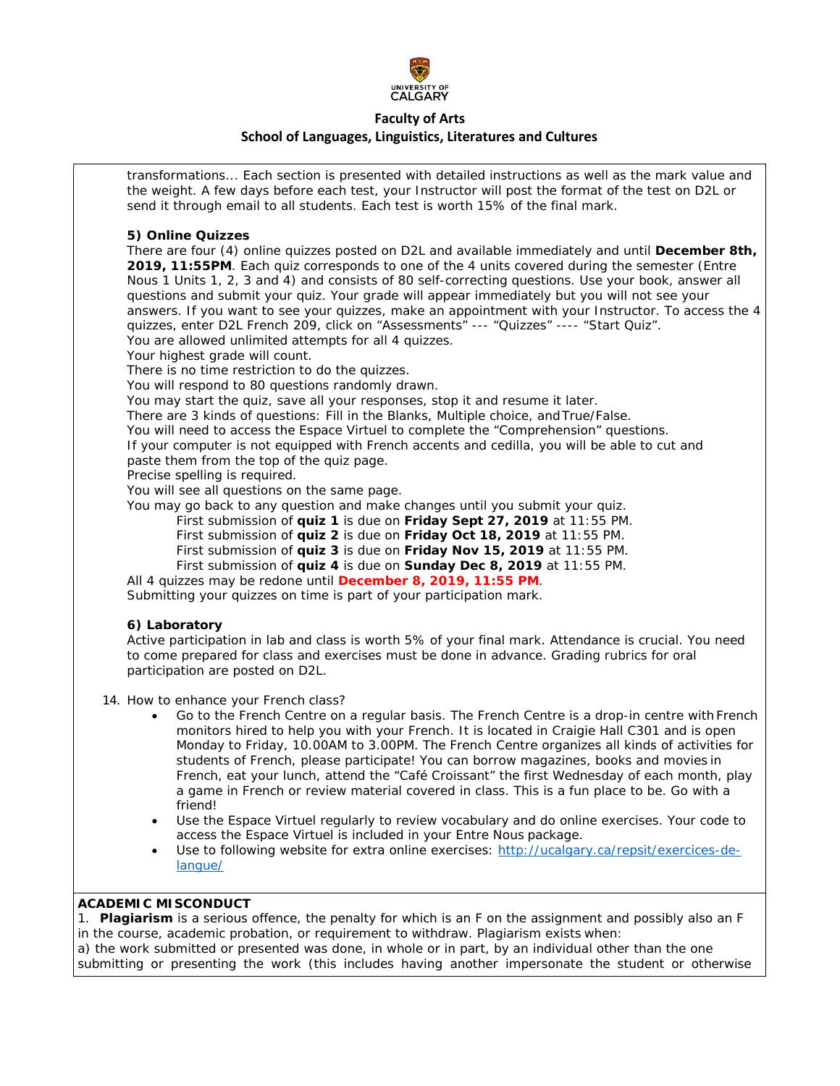

# **Faculty of Arts**

### **School of Languages, Linguistics, Literatures and Cultures**

transformations... Each section is presented with detailed instructions as well as the mark value and the weight. A few days before each test, your Instructor will post the format of the test on D2L or send it through email to all students. Each test is worth 15% of the final mark.

### **5) Online Quizzes**

There are four (4) online quizzes posted on D2L and available immediately and until **December 8th, 2019, 11:55PM**. Each quiz corresponds to one of the 4 units covered during the semester (*Entre Nous 1* Units 1, 2, 3 and 4) and consists of 80 self-correcting questions. Use your book, answer all questions and submit your quiz. Your grade will appear immediately but you will not see your answers. If you want to see your quizzes, make an appointment with your Instructor. To access the 4 quizzes, enter D2L French 209, click on "Assessments" --- "Quizzes" ---- "Start Quiz". You are allowed unlimited attempts for all 4 quizzes.

Your highest grade will count.

There is no time restriction to do the quizzes.

You will respond to 80 questions randomly drawn.

You may start the quiz, save all your responses, stop it and resume it later.

There are 3 kinds of questions: Fill in the Blanks, Multiple choice, and True/False.

You will need to access the *Espace Virtuel* to complete the "Comprehension" questions.

If your computer is not equipped with French accents and cedilla, you will be able to cut and paste them from the top of the quiz page.

Precise spelling is required.

You will see all questions on the same page.

You may go back to any question and make changes until you submit your quiz.

First submission of **quiz 1** is due on **Friday Sept 27, 2019** at 11:55 PM.

First submission of **quiz 2** is due on **Friday Oct 18, 2019** at 11:55 PM.

First submission of **quiz 3** is due on **Friday Nov 15, 2019** at 11:55 PM.

First submission of **quiz 4** is due on **Sunday Dec 8, 2019** at 11:55 PM.

All 4 quizzes may be redone until **December 8, 2019, 11:55 PM**.

Submitting your quizzes on time is part of your participation mark.

### **6) Laboratory**

Active participation in lab and class is worth 5% of your final mark. Attendance is crucial. You need to come prepared for class and exercises must be done in advance. Grading rubrics for oral participation are posted on D2L.

- 14. How to enhance your French class?
	- Go to the French Centre on a regular basis. The French Centre is a drop-in centre with French monitors hired to help you with your French. It is located in Craigie Hall C301 and is open Monday to Friday, 10.00AM to 3.00PM. The French Centre organizes all kinds of activities for students of French, please participate! You can borrow magazines, books and movies in French, eat your lunch, attend the "Café Croissant" the first Wednesday of each month, play a game in French or review material covered in class. This is a fun place to be. Go with a friend!
	- Use the *Espace Virtuel* regularly to review vocabulary and do online exercises. Your code to access the *Espace Virtuel* is included in your *Entre Nous package.*
	- Use to following website for extra online exercises: [http://ucalgary.ca/repsit/exercices-de](http://ucalgary.ca/repsit/exercices-de-)langue/

### **ACADEMIC MISCONDUCT**

1. **Plagiarism** is a serious offence, the penalty for which is an F on the assignment and possibly also an F in the course, academic probation, or requirement to withdraw. Plagiarism exists when: a) the work submitted or presented was done, in whole or in part, by an individual other than the one submitting or presenting the work (this includes having another impersonate the student or otherwise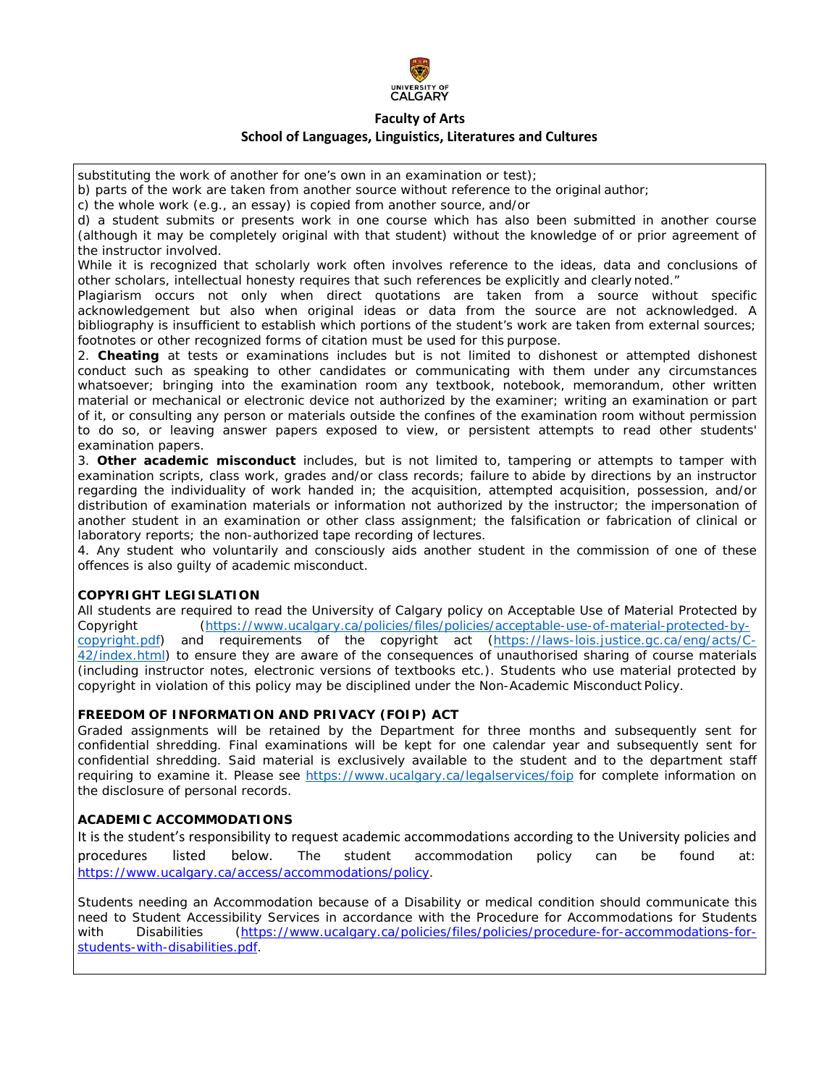

substituting the work of another for one's own in an examination or test);

b) parts of the work are taken from another source without reference to the original author;

c) the whole work (e.g., an essay) is copied from another source, and/or

d) a student submits or presents work in one course which has also been submitted in another course (although it may be completely original with that student) without the knowledge of or prior agreement of the instructor involved.

While it is recognized that scholarly work often involves reference to the ideas, data and conclusions of other scholars, intellectual honesty requires that such references be explicitly and clearly noted."

Plagiarism occurs not only when direct quotations are taken from a source without specific acknowledgement but also when original ideas or data from the source are not acknowledged. A bibliography is insufficient to establish which portions of the student's work are taken from external sources; footnotes or other recognized forms of citation must be used for this purpose.

2. **Cheating** at tests or examinations includes but is not limited to dishonest or attempted dishonest conduct such as speaking to other candidates or communicating with them under any circumstances whatsoever; bringing into the examination room any textbook, notebook, memorandum, other written material or mechanical or electronic device not authorized by the examiner; writing an examination or part of it, or consulting any person or materials outside the confines of the examination room without permission to do so, or leaving answer papers exposed to view, or persistent attempts to read other students' examination papers.

3. **Other academic misconduct** includes, but is not limited to, tampering or attempts to tamper with examination scripts, class work, grades and/or class records; failure to abide by directions by an instructor regarding the individuality of work handed in; the acquisition, attempted acquisition, possession, and/or distribution of examination materials or information not authorized by the instructor; the impersonation of another student in an examination or other class assignment; the falsification or fabrication of clinical or laboratory reports; the non-authorized tape recording of lectures.

4. Any student who voluntarily and consciously aids another student in the commission of one of these offences is also guilty of academic misconduct.

# **COPYRIGHT LEGISLATION**

All students are required to read the University of Calgary policy on Acceptable Use of Material Protected by Copyright (https[://www.ucalgary.ca/policies/files/policies/acceptable-use-of-material-protected-by](http://www.ucalgary.ca/policies/files/policies/acceptable-use-of-material-protected-by-)copyright.pdf) and requirements of the copyright act (https://laws-lois.justice.gc.ca/eng/acts/C-42/index.html) to ensure they are aware of the consequences of unauthorised sharing of course materials (including instructor notes, electronic versions of textbooks etc.). Students who use material protected by copyright in violation of this policy may be disciplined under the Non-Academic Misconduct Policy.

# **FREEDOM OF INFORMATION AND PRIVACY (FOIP) ACT**

Graded assignments will be retained by the Department for three months and subsequently sent for confidential shredding. Final examinations will be kept for one calendar year and subsequently sent for confidential shredding. Said material is exclusively available to the student and to the department staff requiring to examine it. Please see https:/[/www.ucalgary.ca/legalservices/foip](http://www.ucalgary.ca/legalservices/foip) for complete information on the disclosure of personal records.

### **ACADEMIC ACCOMMODATIONS**

It is the student's responsibility to request academic accommodations according to the University policies and procedures listed below. The student accommodation policy can be found at: https:/[/www.ucalgary.ca/access/accommodations/policy.](http://www.ucalgary.ca/access/accommodations/policy)

Students needing an Accommodation because of a Disability or medical condition should communicate this need to Student Accessibility Services in accordance with the Procedure for Accommodations for Students with Disabilities (https:/[/www.ucalgary.ca/policies/files/policies/procedure-for-accommodations-for](http://www.ucalgary.ca/policies/files/policies/procedure-for-accommodations-for-)students-with-disabilities.pdf.